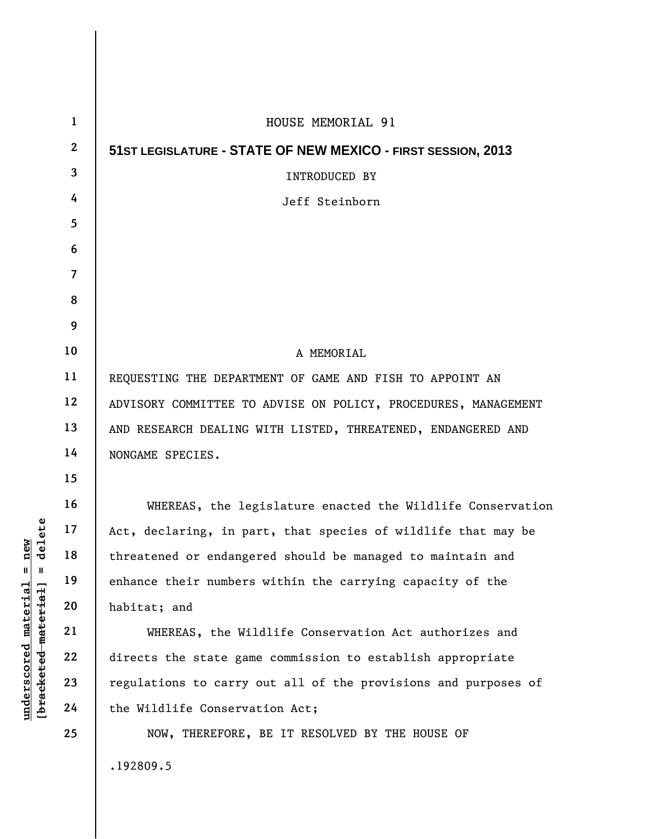| $\mathbf{1}$     | HOUSE MEMORIAL 91                                              |
|------------------|----------------------------------------------------------------|
| $\boldsymbol{2}$ | 51ST LEGISLATURE - STATE OF NEW MEXICO - FIRST SESSION, 2013   |
| 3                | INTRODUCED BY                                                  |
| 4                | Jeff Steinborn                                                 |
| 5                |                                                                |
| 6                |                                                                |
| $\overline{7}$   |                                                                |
| 8                |                                                                |
| 9                |                                                                |
| 10               | A MEMORIAL                                                     |
| 11               | REQUESTING THE DEPARTMENT OF GAME AND FISH TO APPOINT AN       |
| 12               | ADVISORY COMMITTEE TO ADVISE ON POLICY, PROCEDURES, MANAGEMENT |
| 13               | AND RESEARCH DEALING WITH LISTED, THREATENED, ENDANGERED AND   |
| 14               | NONGAME SPECIES.                                               |
| 15               |                                                                |
| 16               | WHEREAS, the legislature enacted the Wildlife Conservation     |
| 17               | Act, declaring, in part, that species of wildlife that may be  |
| 18               | threatened or endangered should be managed to maintain and     |
| 19               | enhance their numbers within the carrying capacity of the      |
| 20               | habitat; and                                                   |
| 21               | WHEREAS, the Wildlife Conservation Act authorizes and          |
| 22               | directs the state game commission to establish appropriate     |
| 23               | regulations to carry out all of the provisions and purposes of |
| 24               | the Wildlife Conservation Act;                                 |
| 25               | NOW, THEREFORE, BE IT RESOLVED BY THE HOUSE OF                 |
|                  | .192809.5                                                      |

 $[bracketeed-materiat] = delete$ **[bracketed material] = delete**  $underscored material = new$ **underscored material = new**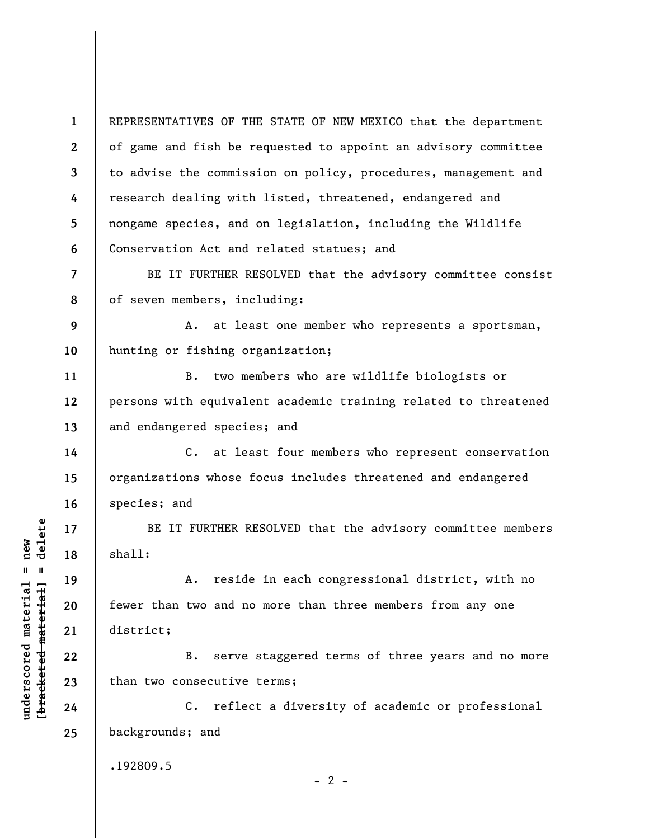**1 2 3 4 5 6**  REPRESENTATIVES OF THE STATE OF NEW MEXICO that the department of game and fish be requested to appoint an advisory committee to advise the commission on policy, procedures, management and research dealing with listed, threatened, endangered and nongame species, and on legislation, including the Wildlife Conservation Act and related statues; and

BE IT FURTHER RESOLVED that the advisory committee consist of seven members, including:

**9 10**  A. at least one member who represents a sportsman, hunting or fishing organization;

B. two members who are wildlife biologists or persons with equivalent academic training related to threatened and endangered species; and

C. at least four members who represent conservation organizations whose focus includes threatened and endangered species; and

BE IT FURTHER RESOLVED that the advisory committee members shall:

A. reside in each congressional district, with no fewer than two and no more than three members from any one district;

B. serve staggered terms of three years and no more than two consecutive terms;

C. reflect a diversity of academic or professional backgrounds; and

.192809.5

 $- 2 -$ 

 $b$ racketed material] = delete **[bracketed material] = delete**  $underscored material = new$ **underscored material = new**

**7** 

**8** 

**11** 

**12** 

**13** 

**14** 

**15** 

**16** 

**17** 

**18** 

**19** 

**20** 

**21** 

**22** 

**23** 

**24** 

**25**